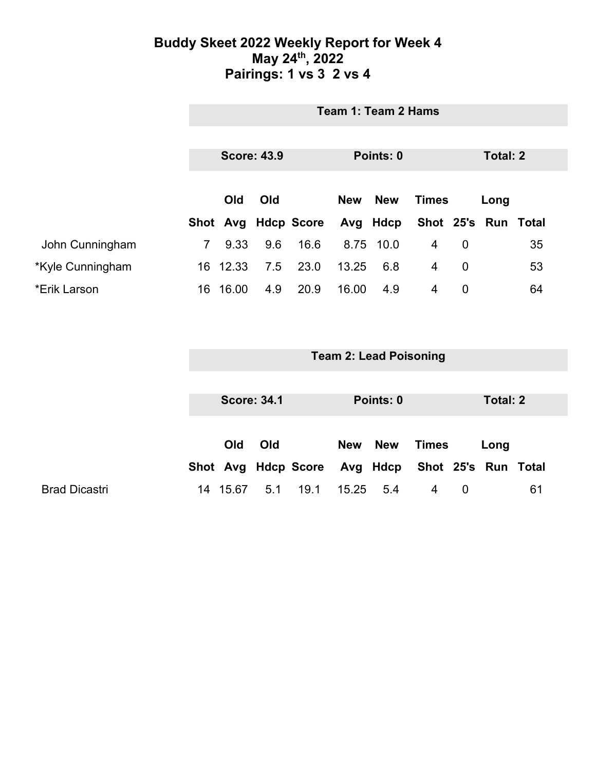### **Buddy Skeet 2022 Weekly Report for Week 4 May 24th, 2022 Pairings: 1 vs 3 2 vs 4**

|                  | Team 1: Team 2 Hams |          |     |                     |                                          |           |                     |                |  |    |
|------------------|---------------------|----------|-----|---------------------|------------------------------------------|-----------|---------------------|----------------|--|----|
|                  |                     |          |     |                     |                                          |           |                     |                |  |    |
|                  | <b>Score: 43.9</b>  |          |     | Points: 0           |                                          |           | Total: 2            |                |  |    |
|                  |                     |          |     |                     |                                          |           |                     |                |  |    |
|                  | Old<br>Old          |          |     |                     | <b>New</b><br><b>New</b><br><b>Times</b> |           |                     | Long           |  |    |
|                  |                     |          |     | Shot Avg Hdcp Score |                                          | Avg Hdcp  | Shot 25's Run Total |                |  |    |
| John Cunningham  | $\overline{7}$      | 9.33     | 9.6 | 16.6                |                                          | 8.75 10.0 | $\overline{4}$      | 0              |  | 35 |
| *Kyle Cunningham |                     | 16 12.33 | 7.5 | 23.0                | 13.25                                    | 6.8       | $\overline{4}$      | $\mathbf 0$    |  | 53 |
| *Erik Larson     | 16                  | 16.00    | 4.9 | 20.9                | 16.00                                    | 4.9       | 4                   | $\overline{0}$ |  | 64 |

|                      | <b>Team 2: Lead Poisoning</b> |            |     |                     |           |  |                              |          |      |    |
|----------------------|-------------------------------|------------|-----|---------------------|-----------|--|------------------------------|----------|------|----|
|                      |                               |            |     |                     |           |  |                              |          |      |    |
|                      | <b>Score: 34.1</b>            |            |     |                     | Points: 0 |  |                              | Total: 2 |      |    |
|                      |                               |            |     |                     |           |  |                              |          |      |    |
|                      |                               | <b>Old</b> | Old |                     | New New   |  | Times                        |          | Long |    |
|                      |                               |            |     | Shot Avg Hdcp Score |           |  | Avg Hdcp Shot 25's Run Total |          |      |    |
| <b>Brad Dicastri</b> | 14                            | 15.67      | 5.1 | 19.1                | 15.25 5.4 |  | 4                            | 0        |      | 61 |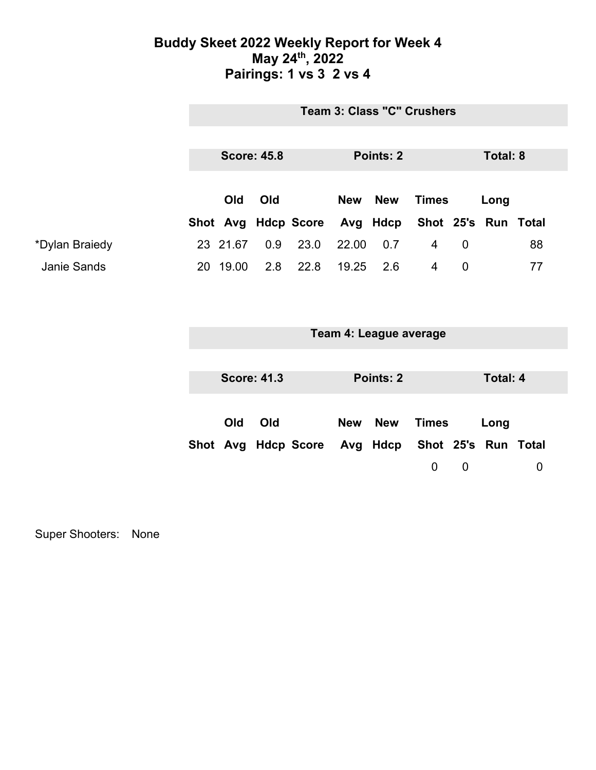### **Buddy Skeet 2022 Weekly Report for Week 4 May 24th, 2022 Pairings: 1 vs 3 2 vs 4**

|                | <b>Team 3: Class "C" Crushers</b> |          |     |                              |            |            |                     |   |      |    |
|----------------|-----------------------------------|----------|-----|------------------------------|------------|------------|---------------------|---|------|----|
|                |                                   |          |     |                              |            |            |                     |   |      |    |
|                | <b>Score: 45.8</b>                |          |     | Points: 2                    |            |            | Total: 8            |   |      |    |
|                | <b>Old</b><br>Old                 |          |     |                              |            |            |                     |   |      |    |
|                |                                   |          |     |                              | <b>New</b> | <b>New</b> | <b>Times</b>        |   | Long |    |
|                |                                   |          |     | Shot Avg Hdcp Score Avg Hdcp |            |            | Shot 25's Run Total |   |      |    |
| *Dylan Braiedy |                                   | 23 21.67 | 0.9 | 23.0                         | 22.00      | 0.7        | 4                   | 0 |      | 88 |
| Janie Sands    | 20                                | 19.00    | 2.8 | 22.8                         | 19.25      | 2.6        | 4                   | 0 |      | 77 |

|  | Team 4: League average |  |
|--|------------------------|--|
|--|------------------------|--|

| <b>Score: 41.3</b>                               |
|--------------------------------------------------|
| Old                                              |
| Shot Avg Hdcp Score Avg Hdcp Shot 25's Run Total |
|                                                  |

Super Shooters: None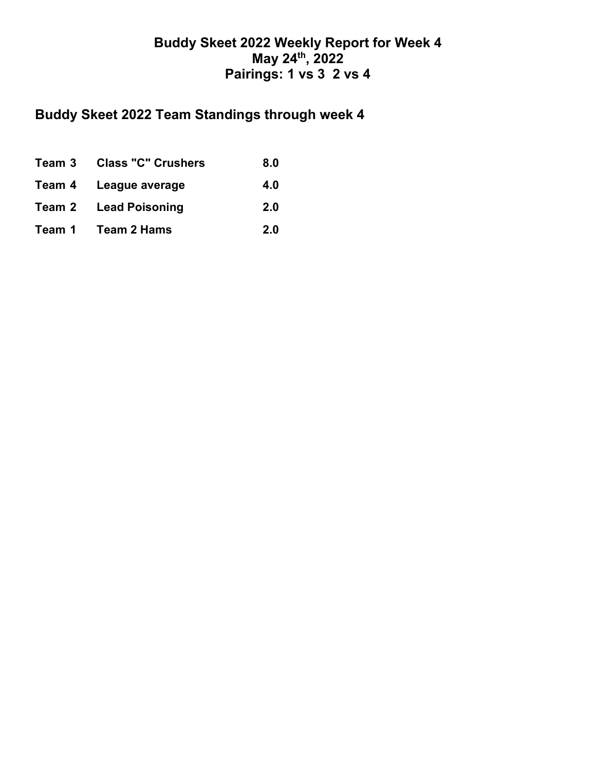## **Buddy Skeet 2022 Weekly Report for Week 4 May 24th, 2022 Pairings: 1 vs 3 2 vs 4**

# **Buddy Skeet 2022 Team Standings through week 4**

| Team 3 Class "C" Crushers    | 8.0 |
|------------------------------|-----|
| Team 4 League average        | 4.0 |
| <b>Team 2 Lead Poisoning</b> | 2.0 |
| Team 1 Team 2 Hams           | 2.0 |